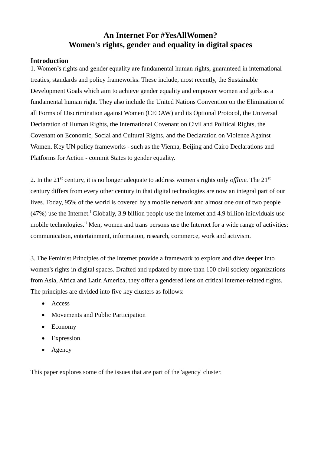## **An Internet For #YesAllWomen? Women's rights, gender and equality in digital spaces**

## **Introduction**

1. Women's rights and gender equality are fundamental human rights, guaranteed in international treaties, standards and policy frameworks. These include, most recently, the Sustainable Development Goals which aim to achieve gender equality and empower women and girls as a fundamental human right. They also include the United Nations Convention on the Elimination of all Forms of Discrimination against Women (CEDAW) and its Optional Protocol, the Universal Declaration of Human Rights, the International Covenant on Civil and Political Rights, the Covenant on Economic, Social and Cultural Rights, and the Declaration on Violence Against Women. Key UN policy frameworks - such as the Vienna, Beijing and Cairo Declarations and Platforms for Action - commit States to gender equality.

2. In the 21st century, it is no longer adequate to address women's rights only *offline.* The 21st century differs from every other century in that digital technologies are now an integral part of our lives. Today, 95% of the world is covered by a mobile network and almost one out of two people  $(47%)$  use the Internet.<sup>i</sup> Globally, 3.9 billion people use the internet and 4.9 billion inidviduals use mobile technologies.<sup>ii</sup> Men, women and trans persons use the Internet for a wide range of activities: communication, entertainment, information, research, commerce, work and activism.

3. The Feminist Principles of the Internet provide a framework to explore and dive deeper into women's rights in digital spaces. Drafted and updated by more than 100 civil society organizations from Asia, Africa and Latin America, they offer a gendered lens on critical internet-related rights. The principles are divided into five key clusters as follows:

- Access
- Movements and Public Participation
- Economy
- Expression
- Agency

This paper explores some of the issues that are part of the 'agency' cluster.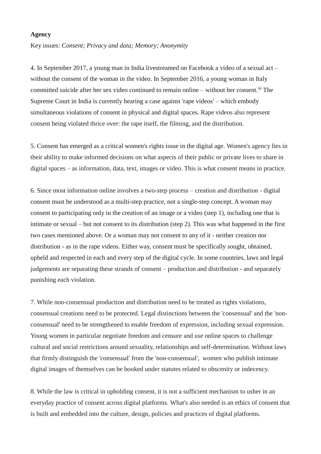## **Agency**

Key issues: *Consent; Privacy and data; Memory; Anonymity*

4. In September 2017, a young man in India livestreamed on Facebook a video of a sexual act – without the consent of the woman in the video. In September 2016, a young woman in Italy committed suicide after her sex video continued to remain online – without her consent.<sup>iii</sup> The Supreme Court in India is currently hearing a case against 'rape videos' – which embody simultaneous violations of consent in physical and digital spaces. Rape videos also represent consent being violated thrice over: the rape itself, the filming, and the distribution.

5. Consent has emerged as a critical women's rights issue in the digital age. Women's agency lies in their ability to make informed decisions on what aspects of their public or private lives to share in digital spaces – as information, data, text, images or video. This is what consent means in practice.

6. Since most information online involves a two-step process – creation and distribution - digital consent must be understood as a multi-step practice, not a single-step concept. A woman may consent to participating only in the creation of an image or a video (step 1), including one that is intimate or sexual – but not consent to its distribution (step 2). This was what happened in the first two cases mentioned above. Or a woman may not consent to any of it - neither creation nor distribution - as in the rape videos. Either way, consent must be specifically sought, obtained, upheld and respected in each and every step of the digital cycle. In some countries, laws and legal judgements are separating these strands of consent – production and distribution - and separately punishing each violation.

7. While non-consensual production and distribution need to be treated as rights violations, consensual creations need to be protected. Legal distinctions between the 'consensual' and the 'nonconsensual' need to be strengthened to enable freedom of expression, including sexual expression. Young women in particular negotiate freedom and censure and use online spaces to challenge cultural and social restrictions around sexuality, relationships and self-determination. Without laws that firmly distinguish the 'consensual' from the 'non-consensual', women who publish intimate digital images of themselves can be booked under statutes related to obscenity or indecency.

8. While the law is critical in upholding consent, it is not a sufficient mechanism to usher in an everyday practice of consent across digital platforms. What's also needed is an ethics of consent that is built and embedded into the culture, design, policies and practices of digital platforms.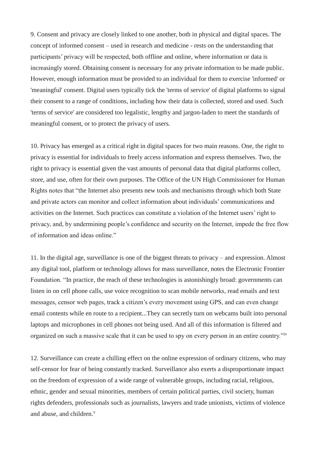9. Consent and privacy are closely linked to one another, both in physical and digital spaces. The concept of informed consent – used in research and medicine - rests on the understanding that participants' privacy will be respected, both offline and online, where information or data is increasingly stored. Obtaining consent is necessary for any private information to be made public. However, enough information must be provided to an individual for them to exercise 'informed' or 'meaningful' consent. Digital users typically tick the 'terms of service' of digital platforms to signal their consent to a range of conditions, including how their data is collected, stored and used. Such 'terms of service' are considered too legalistic, lengthy and jargon-laden to meet the standards of meaningful consent, or to protect the privacy of users.

10. Privacy has emerged as a critical right in digital spaces for two main reasons. One, the right to privacy is essential for individuals to freely access information and express themselves. Two, the right to privacy is essential given the vast amounts of personal data that digital platforms collect, store, and use, often for their own purposes. The Office of the UN High Commissioner for Human Rights notes that "the Internet also presents new tools and mechanisms through which both State and private actors can monitor and collect information about individuals' communications and activities on the Internet. Such practices can constitute a violation of the Internet users' right to privacy, and, by undermining people's confidence and security on the Internet, impede the free flow of information and ideas online."

11. In the digital age, surveillance is one of the biggest threats to privacy – and expression. Almost any digital tool, platform or technology allows for mass surveillance, notes the Electronic Frontier Foundation. "In practice, the reach of these technologies is astonishingly broad: governments can listen in on cell phone calls, use voice recognition to scan mobile networks, read emails and text messages, censor web pages, track a citizen's every movement using GPS, and can even change email contents while en route to a recipient...They can secretly turn on webcams built into personal laptops and microphones in cell phones not being used. And all of this information is filtered and organized on such a massive scale that it can be used to spy on every person in an entire country."iv

12. Surveillance can create a chilling effect on the online expression of ordinary citizens, who may self-censor for fear of being constantly tracked. Surveillance also exerts a disproportionate impact on the freedom of expression of a wide range of vulnerable groups, including racial, religious, ethnic, gender and sexual minorities, members of certain political parties, civil society, human rights defenders, professionals such as journalists, lawyers and trade unionists, victims of violence and abuse, and children.<sup>v</sup>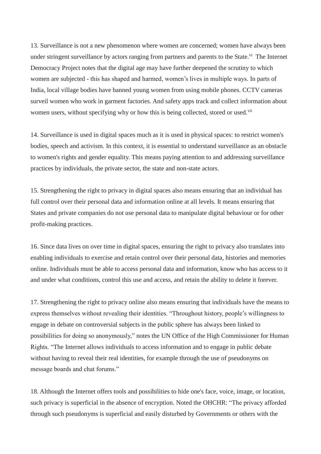13. Surveillance is not a new phenomenon where women are concerned; women have always been under stringent surveillance by actors ranging from partners and parents to the State.<sup>vi</sup> The Internet Democracy Project notes that the digital age may have further deepened the scrutiny to which women are subjected - this has shaped and harmed, women's lives in multiple ways. In parts of India, local village bodies have banned young women from using mobile phones. CCTV cameras surveil women who work in garment factories. And safety apps track and collect information about women users, without specifying why or how this is being collected, stored or used.<sup>vii</sup>

14. Surveillance is used in digital spaces much as it is used in physical spaces: to restrict women's bodies, speech and activism. In this context, it is essential to understand surveillance as an obstacle to women's rights and gender equality. This means paying attention to and addressing surveillance practices by individuals, the private sector, the state and non-state actors.

15. Strengthening the right to privacy in digital spaces also means ensuring that an individual has full control over their personal data and information online at all levels. It means ensuring that States and private companies do not use personal data to manipulate digital behaviour or for other profit-making practices.

16. Since data lives on over time in digital spaces, ensuring the right to privacy also translates into enabling individuals to exercise and retain control over their personal data, histories and memories online. Individuals must be able to access personal data and information, know who has access to it and under what conditions, control this use and access, and retain the ability to delete it forever.

17. Strengthening the right to privacy online also means ensuring that individuals have the means to express themselves without revealing their identities. "Throughout history, people's willingness to engage in debate on controversial subjects in the public sphere has always been linked to possibilities for doing so anonymously," notes the UN Office of the High Commissioner for Human Rights. "The Internet allows individuals to access information and to engage in public debate without having to reveal their real identities, for example through the use of pseudonyms on message boards and chat forums."

18. Although the Internet offers tools and possibilities to hide one's face, voice, image, or location, such privacy is superficial in the absence of encryption. Noted the OHCHR: "The privacy afforded through such pseudonyms is superficial and easily disturbed by Governments or others with the